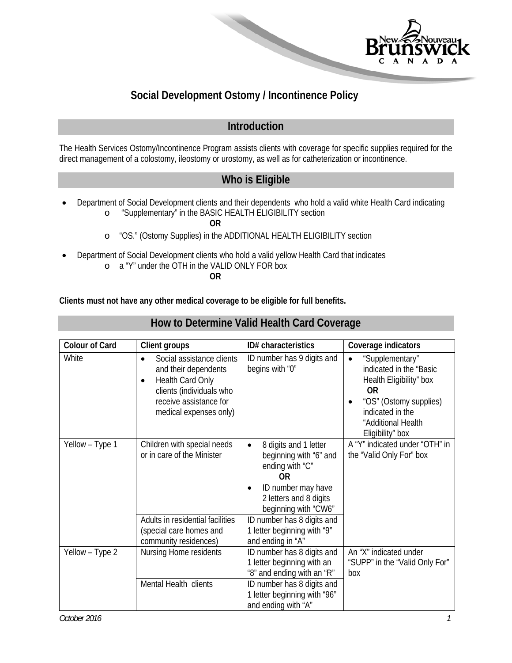

# **Social Development Ostomy / Incontinence Policy**

## **Introduction**

The Health Services Ostomy/Incontinence Program assists clients with coverage for specific supplies required for the direct management of a colostomy, ileostomy or urostomy, as well as for catheterization or incontinence.

## **Who is Eligible**

 Department of Social Development clients and their dependents who hold a valid white Health Card indicating o "Supplementary" in the BASIC HEALTH ELIGIBILITY section

**How to Determine Valid Health Card Coverage** 

**OR** 

- o "OS." (Ostomy Supplies) in the ADDITIONAL HEALTH ELIGIBILITY section
- Department of Social Development clients who hold a valid yellow Health Card that indicates o a "Y" under the OTH in the VALID ONLY FOR box

**OR** 

**Clients must not have any other medical coverage to be eligible for full benefits.** 

| <b>Colour of Card</b> | <b>Client groups</b>                                                                                                                                                            | ID# characteristics                                                                                                                                                  | Coverage indicators                                                                                                                                                                     |
|-----------------------|---------------------------------------------------------------------------------------------------------------------------------------------------------------------------------|----------------------------------------------------------------------------------------------------------------------------------------------------------------------|-----------------------------------------------------------------------------------------------------------------------------------------------------------------------------------------|
| White                 | Social assistance clients<br>$\bullet$<br>and their dependents<br>Health Card Only<br>$\bullet$<br>clients (individuals who<br>receive assistance for<br>medical expenses only) | ID number has 9 digits and<br>begins with "0"                                                                                                                        | "Supplementary"<br>$\bullet$<br>indicated in the "Basic<br>Health Eligibility" box<br><b>OR</b><br>"OS" (Ostomy supplies)<br>indicated in the<br>"Additional Health<br>Eligibility" box |
| Yellow - Type 1       | Children with special needs<br>or in care of the Minister                                                                                                                       | 8 digits and 1 letter<br>$\bullet$<br>beginning with "6" and<br>ending with "C"<br><b>OR</b><br>ID number may have<br>2 letters and 8 digits<br>beginning with "CW6" | A "Y" indicated under "OTH" in<br>the "Valid Only For" box                                                                                                                              |
|                       | Adults in residential facilities<br>(special care homes and<br>community residences)                                                                                            | ID number has 8 digits and<br>1 letter beginning with "9"<br>and ending in "A"                                                                                       |                                                                                                                                                                                         |
| Yellow - Type 2       | Nursing Home residents                                                                                                                                                          | ID number has 8 digits and<br>1 letter beginning with an<br>"8" and ending with an "R"                                                                               | An "X" indicated under<br>"SUPP" in the "Valid Only For"<br>box                                                                                                                         |
|                       | Mental Health clients                                                                                                                                                           | ID number has 8 digits and<br>1 letter beginning with "96"<br>and ending with "A"                                                                                    |                                                                                                                                                                                         |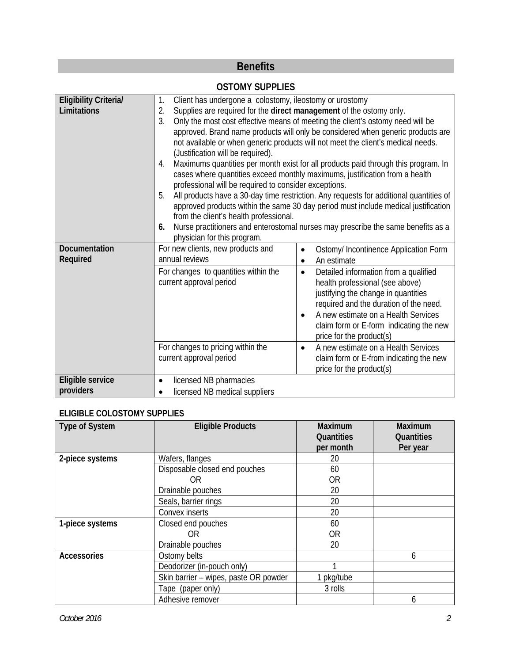# **Benefits**

#### **OSTOMY SUPPLIES**

| <b>Eligibility Criteria/</b> | Client has undergone a colostomy, ileostomy or urostomy<br>1.             |                                                                                        |  |  |
|------------------------------|---------------------------------------------------------------------------|----------------------------------------------------------------------------------------|--|--|
| Limitations                  | Supplies are required for the direct management of the ostomy only.<br>2. |                                                                                        |  |  |
|                              | 3.                                                                        | Only the most cost effective means of meeting the client's ostomy need will be         |  |  |
|                              |                                                                           | approved. Brand name products will only be considered when generic products are        |  |  |
|                              |                                                                           | not available or when generic products will not meet the client's medical needs.       |  |  |
|                              |                                                                           | (Justification will be required).                                                      |  |  |
|                              | 4.                                                                        | Maximums quantities per month exist for all products paid through this program. In     |  |  |
|                              |                                                                           | cases where quantities exceed monthly maximums, justification from a health            |  |  |
|                              |                                                                           | professional will be required to consider exceptions.                                  |  |  |
|                              | 5.                                                                        | All products have a 30-day time restriction. Any requests for additional quantities of |  |  |
|                              |                                                                           | approved products within the same 30 day period must include medical justification     |  |  |
|                              | from the client's health professional.                                    |                                                                                        |  |  |
|                              | 6.                                                                        | Nurse practitioners and enterostomal nurses may prescribe the same benefits as a       |  |  |
|                              | physician for this program.                                               |                                                                                        |  |  |
| Documentation                | For new clients, new products and                                         | Ostomy/ Incontinence Application Form<br>$\bullet$                                     |  |  |
| Required                     | annual reviews                                                            | An estimate<br>$\bullet$                                                               |  |  |
|                              | For changes to quantities within the                                      | Detailed information from a qualified<br>$\bullet$                                     |  |  |
|                              | current approval period                                                   | health professional (see above)                                                        |  |  |
|                              |                                                                           | justifying the change in quantities                                                    |  |  |
|                              |                                                                           | required and the duration of the need.                                                 |  |  |
|                              |                                                                           | A new estimate on a Health Services<br>$\bullet$                                       |  |  |
|                              |                                                                           | claim form or E-form indicating the new                                                |  |  |
|                              |                                                                           | price for the product(s)                                                               |  |  |
|                              | For changes to pricing within the                                         | A new estimate on a Health Services<br>$\bullet$                                       |  |  |
|                              | current approval period                                                   | claim form or E-from indicating the new                                                |  |  |
|                              |                                                                           | price for the product(s)                                                               |  |  |
| Eligible service             | licensed NB pharmacies                                                    |                                                                                        |  |  |
| providers                    | licensed NB medical suppliers                                             |                                                                                        |  |  |

#### **ELIGIBLE COLOSTOMY SUPPLIES**

| <b>Type of System</b> | <b>Eligible Products</b>              | Maximum<br>Quantities<br>per month | <b>Maximum</b><br>Quantities<br>Per year |
|-----------------------|---------------------------------------|------------------------------------|------------------------------------------|
| 2-piece systems       | Wafers, flanges                       | 20                                 |                                          |
|                       | Disposable closed end pouches         | 60                                 |                                          |
|                       | 0R                                    | <b>OR</b>                          |                                          |
|                       | Drainable pouches                     | 20                                 |                                          |
|                       | Seals, barrier rings                  | 20                                 |                                          |
|                       | Convex inserts                        | 20                                 |                                          |
| 1-piece systems       | Closed end pouches                    | 60                                 |                                          |
|                       | 0R                                    | <b>OR</b>                          |                                          |
|                       | Drainable pouches                     | 20                                 |                                          |
| <b>Accessories</b>    | Ostomy belts                          |                                    | 6                                        |
|                       | Deodorizer (in-pouch only)            |                                    |                                          |
|                       | Skin barrier - wipes, paste OR powder | pkg/tube                           |                                          |
|                       | Tape (paper only)                     | 3 rolls                            |                                          |
|                       | Adhesive remover                      |                                    | h                                        |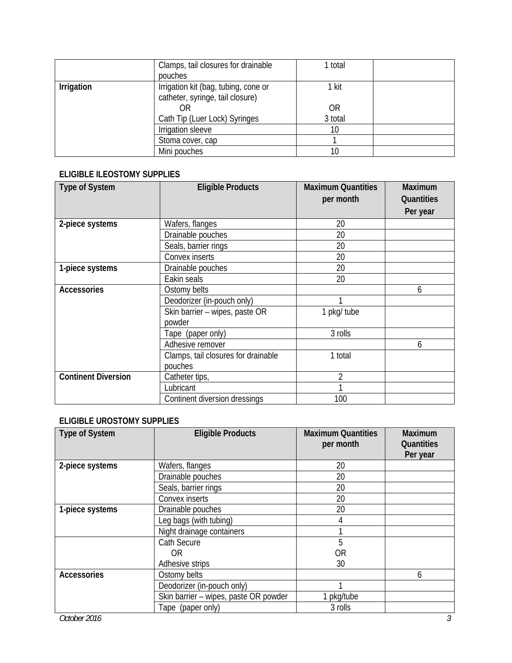|            | Clamps, tail closures for drainable<br>pouches                                 | 1 total     |  |
|------------|--------------------------------------------------------------------------------|-------------|--|
| Irrigation | Irrigation kit (bag, tubing, cone or<br>catheter, syringe, tail closure)<br>ΟR | 1 kit<br>0R |  |
|            | Cath Tip (Luer Lock) Syringes                                                  | 3 total     |  |
|            | Irrigation sleeve                                                              | 10          |  |
|            | Stoma cover, cap                                                               |             |  |
|            | Mini pouches                                                                   | 10          |  |

#### **ELIGIBLE ILEOSTOMY SUPPLIES**

| <b>Type of System</b>      | <b>Eligible Products</b>                       | <b>Maximum Quantities</b><br>per month | Maximum<br>Quantities<br>Per year |
|----------------------------|------------------------------------------------|----------------------------------------|-----------------------------------|
| 2-piece systems            | Wafers, flanges                                | 20                                     |                                   |
|                            | Drainable pouches                              | 20                                     |                                   |
|                            | Seals, barrier rings                           | 20                                     |                                   |
|                            | Convex inserts                                 | 20                                     |                                   |
| 1-piece systems            | Drainable pouches                              | 20                                     |                                   |
|                            | Eakin seals                                    | 20                                     |                                   |
| <b>Accessories</b>         | Ostomy belts                                   |                                        | 6                                 |
|                            | Deodorizer (in-pouch only)                     |                                        |                                   |
|                            | Skin barrier - wipes, paste OR<br>powder       | 1 pkg/ tube                            |                                   |
|                            | Tape (paper only)                              | 3 rolls                                |                                   |
|                            | Adhesive remover                               |                                        | 6                                 |
|                            | Clamps, tail closures for drainable<br>pouches | 1 total                                |                                   |
| <b>Continent Diversion</b> | Catheter tips,                                 | $\overline{2}$                         |                                   |
|                            | Lubricant                                      |                                        |                                   |
|                            | Continent diversion dressings                  | 100                                    |                                   |

## **ELIGIBLE UROSTOMY SUPPLIES**

| Type of System     | <b>Eligible Products</b>              | <b>Maximum Quantities</b><br>per month | Maximum<br>Quantities<br>Per year |
|--------------------|---------------------------------------|----------------------------------------|-----------------------------------|
| 2-piece systems    | Wafers, flanges                       | 20                                     |                                   |
|                    | Drainable pouches                     | 20                                     |                                   |
|                    | Seals, barrier rings                  | 20                                     |                                   |
|                    | Convex inserts                        | 20                                     |                                   |
| 1-piece systems    | Drainable pouches                     | 20                                     |                                   |
|                    | Leg bags (with tubing)                | 4                                      |                                   |
|                    | Night drainage containers             |                                        |                                   |
|                    | <b>Cath Secure</b>                    | 5                                      |                                   |
|                    | 0R                                    | 0 <sub>R</sub>                         |                                   |
|                    | Adhesive strips                       | 30                                     |                                   |
| <b>Accessories</b> | Ostomy belts                          |                                        | 6                                 |
|                    | Deodorizer (in-pouch only)            |                                        |                                   |
|                    | Skin barrier - wipes, paste OR powder | pkg/tube                               |                                   |
|                    | Tape (paper only)                     | 3 rolls                                |                                   |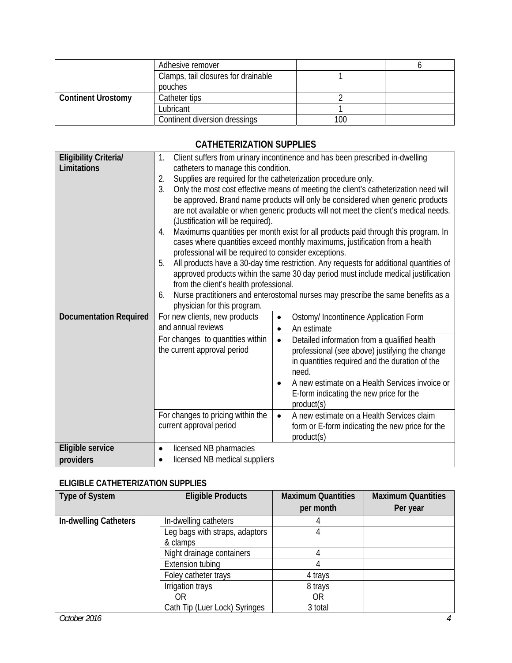|                           | Adhesive remover                    |     |  |
|---------------------------|-------------------------------------|-----|--|
|                           | Clamps, tail closures for drainable |     |  |
|                           | pouches                             |     |  |
| <b>Continent Urostomy</b> | Catheter tips                       |     |  |
|                           | Lubricant                           |     |  |
|                           | Continent diversion dressings       | 100 |  |

#### **CATHETERIZATION SUPPLIES**

| <b>Eligibility Criterial</b>  | 1.                                                    | Client suffers from urinary incontinence and has been prescribed in-dwelling           |  |  |
|-------------------------------|-------------------------------------------------------|----------------------------------------------------------------------------------------|--|--|
| Limitations                   | catheters to manage this condition.                   |                                                                                        |  |  |
|                               | 2.                                                    | Supplies are required for the catheterization procedure only.                          |  |  |
|                               | 3.                                                    | Only the most cost effective means of meeting the client's catheterization need will   |  |  |
|                               |                                                       | be approved. Brand name products will only be considered when generic products         |  |  |
|                               |                                                       | are not available or when generic products will not meet the client's medical needs.   |  |  |
|                               |                                                       | (Justification will be required).                                                      |  |  |
|                               | 4.                                                    | Maximums quantities per month exist for all products paid through this program. In     |  |  |
|                               |                                                       | cases where quantities exceed monthly maximums, justification from a health            |  |  |
|                               | professional will be required to consider exceptions. |                                                                                        |  |  |
|                               | 5.                                                    | All products have a 30-day time restriction. Any requests for additional quantities of |  |  |
|                               |                                                       | approved products within the same 30 day period must include medical justification     |  |  |
|                               | from the client's health professional.                |                                                                                        |  |  |
|                               | 6.<br>physician for this program.                     | Nurse practitioners and enterostomal nurses may prescribe the same benefits as a       |  |  |
| <b>Documentation Required</b> | For new clients, new products                         |                                                                                        |  |  |
|                               | and annual reviews                                    | Ostomy/ Incontinence Application Form<br>$\bullet$<br>An estimate                      |  |  |
|                               |                                                       | $\bullet$                                                                              |  |  |
|                               | For changes to quantities within                      | Detailed information from a qualified health<br>$\bullet$                              |  |  |
|                               | the current approval period                           | professional (see above) justifying the change                                         |  |  |
|                               |                                                       | in quantities required and the duration of the<br>need.                                |  |  |
|                               |                                                       |                                                                                        |  |  |
|                               |                                                       | A new estimate on a Health Services invoice or                                         |  |  |
|                               |                                                       | E-form indicating the new price for the<br>product(s)                                  |  |  |
|                               | For changes to pricing within the                     | A new estimate on a Health Services claim<br>$\bullet$                                 |  |  |
|                               | current approval period                               | form or E-form indicating the new price for the                                        |  |  |
|                               |                                                       | product(s)                                                                             |  |  |
| Eligible service              | licensed NB pharmacies<br>٠                           |                                                                                        |  |  |
| providers                     | licensed NB medical suppliers                         |                                                                                        |  |  |
|                               |                                                       |                                                                                        |  |  |

#### **ELIGIBLE CATHETERIZATION SUPPLIES**

| <b>Type of System</b> | <b>Eligible Products</b>       | <b>Maximum Quantities</b> | <b>Maximum Quantities</b> |
|-----------------------|--------------------------------|---------------------------|---------------------------|
|                       |                                | per month                 | Per year                  |
| In-dwelling Catheters | In-dwelling catheters          |                           |                           |
|                       | Leg bags with straps, adaptors |                           |                           |
|                       | & clamps                       |                           |                           |
|                       | Night drainage containers      |                           |                           |
|                       | <b>Extension tubing</b>        |                           |                           |
|                       | Foley catheter trays           | 4 trays                   |                           |
|                       | Irrigation trays               | 8 trays                   |                           |
|                       | 0R.                            | 0 <sub>R</sub>            |                           |
|                       | Cath Tip (Luer Lock) Syringes  | 3 total                   |                           |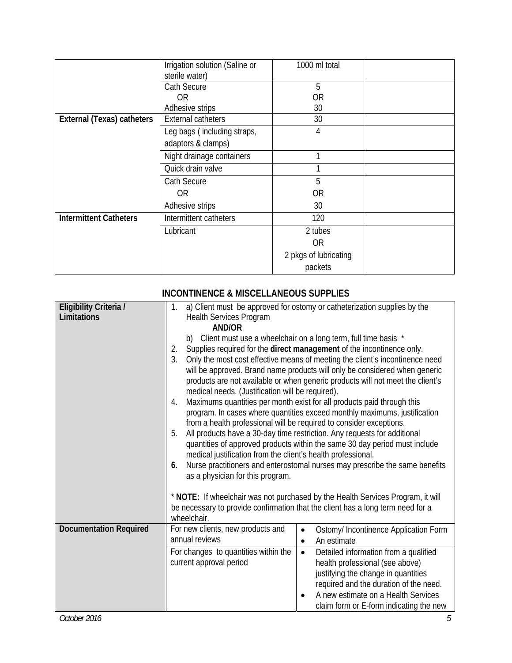|                               | Irrigation solution (Saline or<br>sterile water)  | 1000 ml total         |  |
|-------------------------------|---------------------------------------------------|-----------------------|--|
|                               | Cath Secure                                       | 5                     |  |
|                               | 0 <sub>R</sub>                                    | 0R                    |  |
|                               | Adhesive strips                                   | 30                    |  |
| External (Texas) catheters    | <b>External catheters</b>                         | 30                    |  |
|                               | Leg bags (including straps,<br>adaptors & clamps) | 4                     |  |
|                               | Night drainage containers                         |                       |  |
|                               | Quick drain valve                                 |                       |  |
|                               | Cath Secure                                       | 5                     |  |
|                               | <b>OR</b>                                         | 0R                    |  |
|                               | Adhesive strips                                   | 30                    |  |
| <b>Intermittent Catheters</b> | Intermittent catheters                            | 120                   |  |
|                               | Lubricant                                         | 2 tubes               |  |
|                               |                                                   | <b>OR</b>             |  |
|                               |                                                   | 2 pkgs of lubricating |  |
|                               |                                                   | packets               |  |

|                               | INCONTINENCE & MISCELLANEOUS SUPPLIES                                                                                                                        |  |  |
|-------------------------------|--------------------------------------------------------------------------------------------------------------------------------------------------------------|--|--|
| Eligibility Criteria /        | a) Client must be approved for ostomy or catheterization supplies by the<br>1.                                                                               |  |  |
| Limitations                   | <b>Health Services Program</b><br><b>AND/OR</b>                                                                                                              |  |  |
|                               | b) Client must use a wheelchair on a long term, full time basis *                                                                                            |  |  |
|                               | 2.<br>Supplies required for the direct management of the incontinence only.                                                                                  |  |  |
|                               | 3.<br>Only the most cost effective means of meeting the client's incontinence need                                                                           |  |  |
|                               | will be approved. Brand name products will only be considered when generic<br>products are not available or when generic products will not meet the client's |  |  |
|                               | medical needs. (Justification will be required).                                                                                                             |  |  |
|                               | Maximums quantities per month exist for all products paid through this<br>4.                                                                                 |  |  |
|                               | program. In cases where quantities exceed monthly maximums, justification<br>from a health professional will be required to consider exceptions.             |  |  |
|                               | 5.<br>All products have a 30-day time restriction. Any requests for additional                                                                               |  |  |
|                               | quantities of approved products within the same 30 day period must include                                                                                   |  |  |
|                               | medical justification from the client's health professional.                                                                                                 |  |  |
|                               | Nurse practitioners and enterostomal nurses may prescribe the same benefits<br>6.<br>as a physician for this program.                                        |  |  |
|                               |                                                                                                                                                              |  |  |
|                               | * NOTE: If wheelchair was not purchased by the Health Services Program, it will                                                                              |  |  |
|                               | be necessary to provide confirmation that the client has a long term need for a<br>wheelchair.                                                               |  |  |
| <b>Documentation Required</b> | For new clients, new products and<br>Ostomy/ Incontinence Application Form<br>$\bullet$                                                                      |  |  |
|                               | annual reviews<br>An estimate<br>$\bullet$                                                                                                                   |  |  |
|                               | For changes to quantities within the<br>Detailed information from a qualified<br>$\bullet$                                                                   |  |  |
|                               | current approval period<br>health professional (see above)                                                                                                   |  |  |
|                               | justifying the change in quantities<br>required and the duration of the need.                                                                                |  |  |
|                               | A new estimate on a Health Services<br>$\bullet$                                                                                                             |  |  |
|                               | claim form or E-form indicating the new                                                                                                                      |  |  |

# **INCONTINENCE & MISCELLANEOUS SUPPLIES**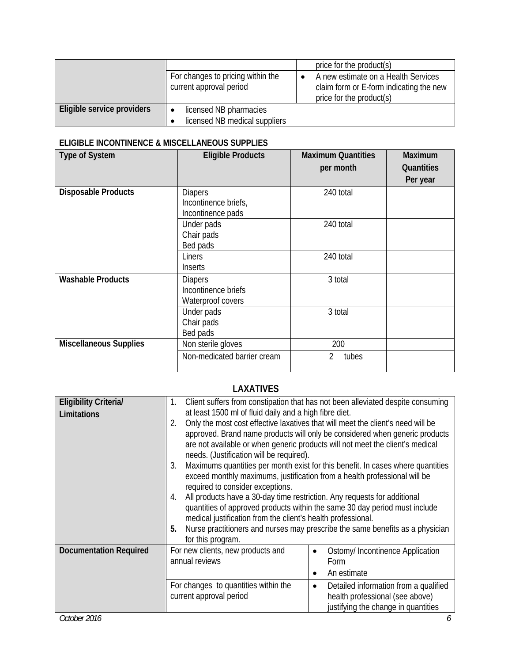|                            |                                                              | price for the product(s)                                                                                   |
|----------------------------|--------------------------------------------------------------|------------------------------------------------------------------------------------------------------------|
|                            | For changes to pricing within the<br>current approval period | A new estimate on a Health Services<br>claim form or E-form indicating the new<br>price for the product(s) |
| Eligible service providers | licensed NB pharmacies                                       |                                                                                                            |
|                            | licensed NB medical suppliers                                |                                                                                                            |

#### **ELIGIBLE INCONTINENCE & MISCELLANEOUS SUPPLIES**

| <b>Type of System</b>         | <b>Eligible Products</b>                                    | <b>Maximum Quantities</b><br>per month | <b>Maximum</b><br>Quantities<br>Per year |
|-------------------------------|-------------------------------------------------------------|----------------------------------------|------------------------------------------|
| <b>Disposable Products</b>    | <b>Diapers</b><br>Incontinence briefs,<br>Incontinence pads | 240 total                              |                                          |
|                               | Under pads<br>Chair pads<br>Bed pads                        | 240 total                              |                                          |
|                               | Liners<br>Inserts                                           | 240 total                              |                                          |
| <b>Washable Products</b>      | <b>Diapers</b><br>Incontinence briefs<br>Waterproof covers  | 3 total                                |                                          |
|                               | Under pads<br>Chair pads<br>Bed pads                        | 3 total                                |                                          |
| <b>Miscellaneous Supplies</b> | Non sterile gloves                                          | 200                                    |                                          |
|                               | Non-medicated barrier cream                                 | tubes<br>2                             |                                          |

## **LAXATIVES**

| Client suffers from constipation that has not been alleviated despite consuming<br>1.      |  |  |
|--------------------------------------------------------------------------------------------|--|--|
| at least 1500 ml of fluid daily and a high fibre diet.                                     |  |  |
| Only the most cost effective laxatives that will meet the client's need will be            |  |  |
| approved. Brand name products will only be considered when generic products                |  |  |
| are not available or when generic products will not meet the client's medical              |  |  |
| needs. (Justification will be required).                                                   |  |  |
| Maximums quantities per month exist for this benefit. In cases where quantities<br>3.      |  |  |
| exceed monthly maximums, justification from a health professional will be                  |  |  |
| required to consider exceptions.                                                           |  |  |
| All products have a 30-day time restriction. Any requests for additional<br>4.             |  |  |
| quantities of approved products within the same 30 day period must include                 |  |  |
| medical justification from the client's health professional.                               |  |  |
| Nurse practitioners and nurses may prescribe the same benefits as a physician<br>5.        |  |  |
| for this program.                                                                          |  |  |
| For new clients, new products and<br>Ostomy/ Incontinence Application<br>$\bullet$         |  |  |
| annual reviews<br>Form                                                                     |  |  |
| An estimate<br>$\bullet$                                                                   |  |  |
| For changes to quantities within the<br>Detailed information from a qualified<br>$\bullet$ |  |  |
| current approval period<br>health professional (see above)                                 |  |  |
| justifying the change in quantities                                                        |  |  |
|                                                                                            |  |  |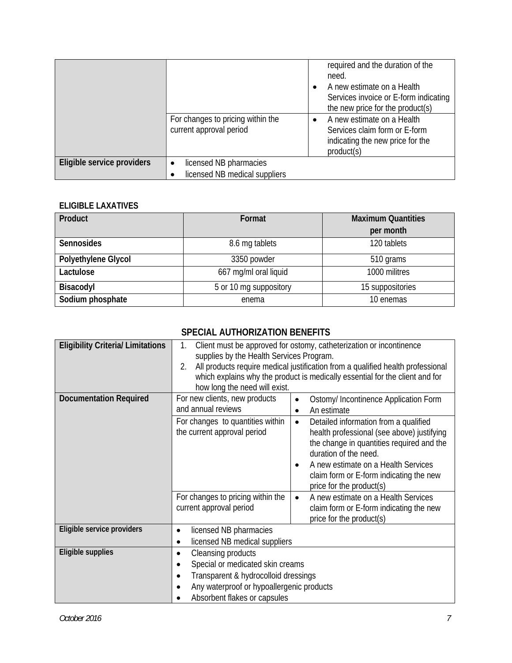|                            | For changes to pricing within the<br>current approval period | required and the duration of the<br>need.<br>A new estimate on a Health<br>Services invoice or E-form indicating<br>the new price for the product(s)<br>A new estimate on a Health<br>Services claim form or E-form<br>indicating the new price for the<br>product(s) |
|----------------------------|--------------------------------------------------------------|-----------------------------------------------------------------------------------------------------------------------------------------------------------------------------------------------------------------------------------------------------------------------|
| Eligible service providers | licensed NB pharmacies<br>$\bullet$                          |                                                                                                                                                                                                                                                                       |
|                            | licensed NB medical suppliers                                |                                                                                                                                                                                                                                                                       |

#### **ELIGIBLE LAXATIVES**

| Product             | Format                 | <b>Maximum Quantities</b> |
|---------------------|------------------------|---------------------------|
|                     |                        | per month                 |
| <b>Sennosides</b>   | 8.6 mg tablets         | 120 tablets               |
| Polyethylene Glycol | 3350 powder            | 510 grams                 |
| Lactulose           | 667 mg/ml oral liquid  | 1000 militres             |
| Bisacodyl           | 5 or 10 mg suppository | 15 suppositories          |
| Sodium phosphate    | enema                  | 10 enemas                 |

## **SPECIAL AUTHORIZATION BENEFITS**

| <b>Eligibility Criteria/ Limitations</b> | Client must be approved for ostomy, catheterization or incontinence<br>1.<br>supplies by the Health Services Program.<br>All products require medical justification from a qualified health professional<br>2.<br>which explains why the product is medically essential for the client and for<br>how long the need will exist. |                                                                                                                                                                                                                                                                                      |  |
|------------------------------------------|---------------------------------------------------------------------------------------------------------------------------------------------------------------------------------------------------------------------------------------------------------------------------------------------------------------------------------|--------------------------------------------------------------------------------------------------------------------------------------------------------------------------------------------------------------------------------------------------------------------------------------|--|
| <b>Documentation Required</b>            | For new clients, new products<br>and annual reviews                                                                                                                                                                                                                                                                             | Ostomy/ Incontinence Application Form<br>An estimate<br>$\bullet$                                                                                                                                                                                                                    |  |
|                                          | For changes to quantities within<br>the current approval period                                                                                                                                                                                                                                                                 | Detailed information from a qualified<br>$\bullet$<br>health professional (see above) justifying<br>the change in quantities required and the<br>duration of the need.<br>A new estimate on a Health Services<br>claim form or E-form indicating the new<br>price for the product(s) |  |
|                                          | For changes to pricing within the<br>current approval period                                                                                                                                                                                                                                                                    | A new estimate on a Health Services<br>$\bullet$<br>claim form or E-form indicating the new<br>price for the product(s)                                                                                                                                                              |  |
| Eligible service providers               | licensed NB pharmacies<br>٠<br>licensed NB medical suppliers<br>٠                                                                                                                                                                                                                                                               |                                                                                                                                                                                                                                                                                      |  |
| Eligible supplies                        | Cleansing products<br>٠<br>Special or medicated skin creams<br>٠<br>Transparent & hydrocolloid dressings<br>Any waterproof or hypoallergenic products<br>٠<br>Absorbent flakes or capsules                                                                                                                                      |                                                                                                                                                                                                                                                                                      |  |